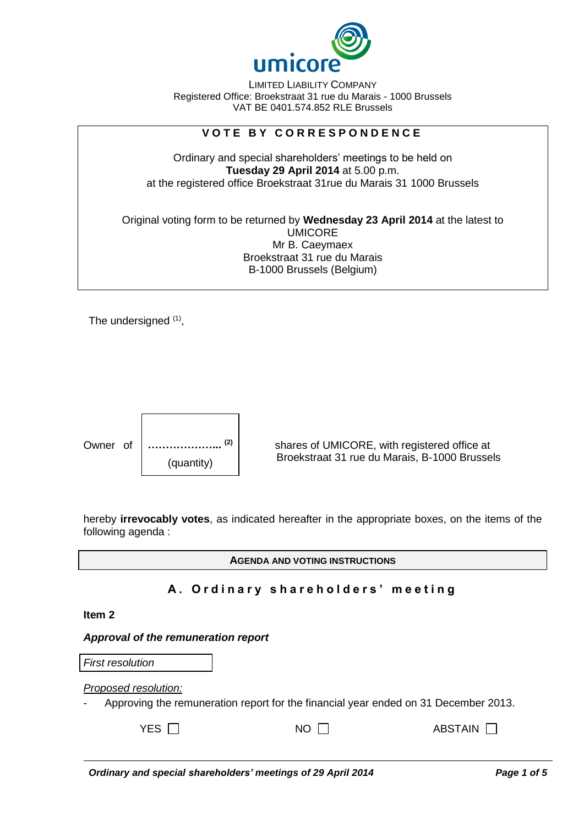

LIMITED LIABILITY COMPANY Registered Office: Broekstraat 31 rue du Marais - 1000 Brussels VAT BE 0401.574.852 RLE Brussels

# **V O T E B Y C O R R E S P O N D E N C E**

Ordinary and special shareholders' meetings to be held on **Tuesday 29 April 2014** at 5.00 p.m. at the registered office Broekstraat 31rue du Marais 31 1000 Brussels

Original voting form to be returned by **Wednesday 23 April 2014** at the latest to UMICORE Mr B. Caeymaex Broekstraat 31 rue du Marais B-1000 Brussels (Belgium)

The undersigned <sup>(1)</sup>,



Owner of shares of UMICORE, with registered office at Broekstraat 31 rue du Marais, B-1000 Brussels

hereby **irrevocably votes**, as indicated hereafter in the appropriate boxes, on the items of the following agenda :

**AGENDA AND VOTING INSTRUCTIONS**

## **A . O r d i n a r y s h a r e h o l d e r s ' m e e t i n g**

#### **Item 2**

#### *Approval of the remuneration report*

| <b>First resolution</b> |                                                                                  |           |
|-------------------------|----------------------------------------------------------------------------------|-----------|
| Proposed resolution:    |                                                                                  |           |
|                         | Approving the remuneration report for the financial year ended on 31 December 20 |           |
| YES I I                 | NO.                                                                              | ABSTAIN I |

on 31 December 2013.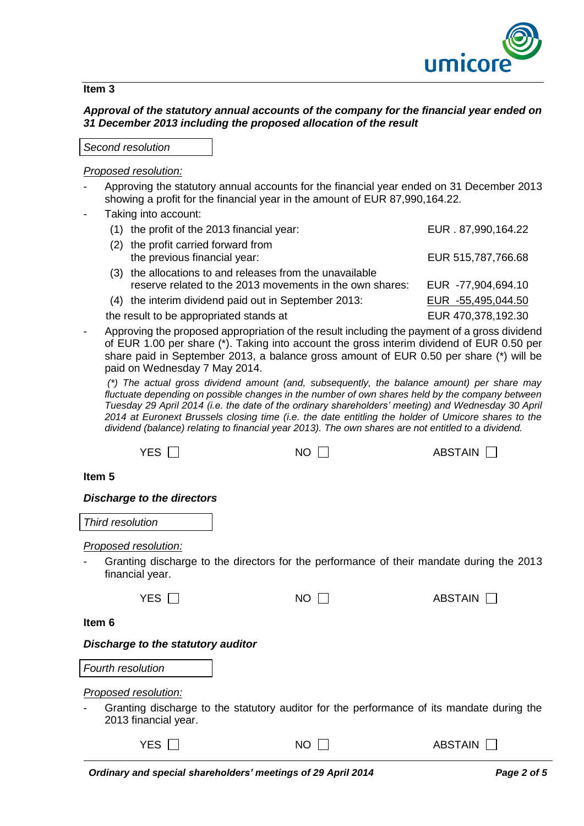

#### **Item 3**

## *Approval of the statutory annual accounts of the company for the financial year ended on 31 December 2013 including the proposed allocation of the result*

*Second resolution*

### *Proposed resolution:*

- Approving the statutory annual accounts for the financial year ended on 31 December 2013 showing a profit for the financial year in the amount of EUR 87,990,164.22.
- Taking into account:

|     | (1) the profit of the 2013 financial year:                                                                       | EUR . 87,990,164.22 |
|-----|------------------------------------------------------------------------------------------------------------------|---------------------|
| (2) | the profit carried forward from<br>the previous financial year:                                                  | EUR 515,787,766.68  |
| (3) | the allocations to and releases from the unavailable<br>reserve related to the 2013 movements in the own shares: | EUR -77,904,694.10  |
|     | (4) the interim dividend paid out in September 2013:                                                             | EUR -55,495,044.50  |
|     | the result to be appropriated stands at                                                                          | EUR 470,378,192.30  |

Approving the proposed appropriation of the result including the payment of a gross dividend of EUR 1.00 per share (\*). Taking into account the gross interim dividend of EUR 0.50 per share paid in September 2013, a balance gross amount of EUR 0.50 per share (\*) will be paid on Wednesday 7 May 2014.

*(\*) The actual gross dividend amount (and, subsequently, the balance amount) per share may fluctuate depending on possible changes in the number of own shares held by the company between Tuesday 29 April 2014 (i.e. the date of the ordinary shareholders' meeting) and Wednesday 30 April 2014 at Euronext Brussels closing time (i.e. the date entitling the holder of Umicore shares to the dividend (balance) relating to financial year 2013). The own shares are not entitled to a dividend.*

| YES $\Box$                                     | NO. | <b>ABSTAIN</b>                                                                            |
|------------------------------------------------|-----|-------------------------------------------------------------------------------------------|
| Item 5                                         |     |                                                                                           |
| <b>Discharge to the directors</b>              |     |                                                                                           |
| Third resolution                               |     |                                                                                           |
| <b>Proposed resolution:</b><br>financial year. |     | Granting discharge to the directors for the performance of their mandate during the 2013  |
| YES $\Box$                                     | NO  | ABSTAIN                                                                                   |
| Item 6                                         |     |                                                                                           |
| Discharge to the statutory auditor             |     |                                                                                           |
| <b>Fourth resolution</b>                       |     |                                                                                           |
| Proposed resolution:                           |     |                                                                                           |
| 2013 financial year.                           |     | Granting discharge to the statutory auditor for the performance of its mandate during the |
| YES $\Gamma$                                   | NO  | ABSTAIN                                                                                   |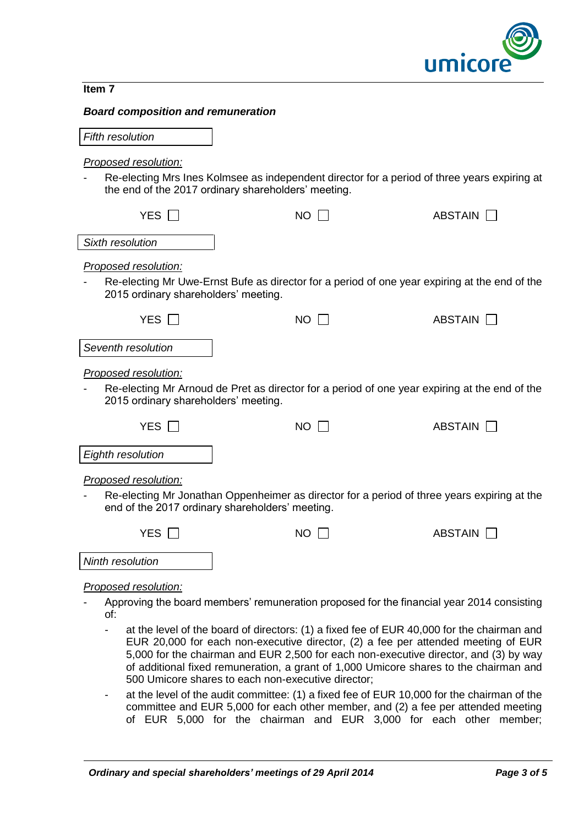

#### **Item 7**

#### *Board composition and remuneration*

| <b>Fifth resolution</b>                                      |                                                                                                                                                     |                |
|--------------------------------------------------------------|-----------------------------------------------------------------------------------------------------------------------------------------------------|----------------|
| Proposed resolution:                                         | Re-electing Mrs Ines Kolmsee as independent director for a period of three years expiring at<br>the end of the 2017 ordinary shareholders' meeting. |                |
| YES $\Box$                                                   | <b>NO</b>                                                                                                                                           | <b>ABSTAIN</b> |
| Sixth resolution                                             |                                                                                                                                                     |                |
| Proposed resolution:<br>2015 ordinary shareholders' meeting. | Re-electing Mr Uwe-Ernst Bufe as director for a period of one year expiring at the end of the                                                       |                |
| YES                                                          | <b>NO</b>                                                                                                                                           | <b>ABSTAIN</b> |
| Seventh resolution                                           |                                                                                                                                                     |                |
| Proposed resolution:<br>2015 ordinary shareholders' meeting. | Re-electing Mr Arnoud de Pret as director for a period of one year expiring at the end of the                                                       |                |
| YES                                                          | $NO$ $\Box$                                                                                                                                         | ABSTAIN        |
| Eighth resolution                                            |                                                                                                                                                     |                |
| Proposed resolution:                                         | Re-electing Mr Jonathan Oppenheimer as director for a period of three years expiring at the<br>end of the 2017 ordinary shareholders' meeting.      |                |
| YES $\Box$                                                   | $NO$ $\Box$                                                                                                                                         | ABSTAIN $\Box$ |
| Ninth resolution                                             |                                                                                                                                                     |                |
| Proposed resolution:                                         |                                                                                                                                                     |                |
|                                                              | Approving the board members' remuneration proposed for the financial year 2014 consisting                                                           |                |

- of:
- at the level of the board of directors: (1) a fixed fee of EUR 40,000 for the chairman and EUR 20,000 for each non-executive director, (2) a fee per attended meeting of EUR 5,000 for the chairman and EUR 2,500 for each non-executive director, and (3) by way of additional fixed remuneration, a grant of 1,000 Umicore shares to the chairman and 500 Umicore shares to each non-executive director;
- at the level of the audit committee: (1) a fixed fee of EUR 10,000 for the chairman of the committee and EUR 5,000 for each other member, and (2) a fee per attended meeting of EUR 5,000 for the chairman and EUR 3,000 for each other member;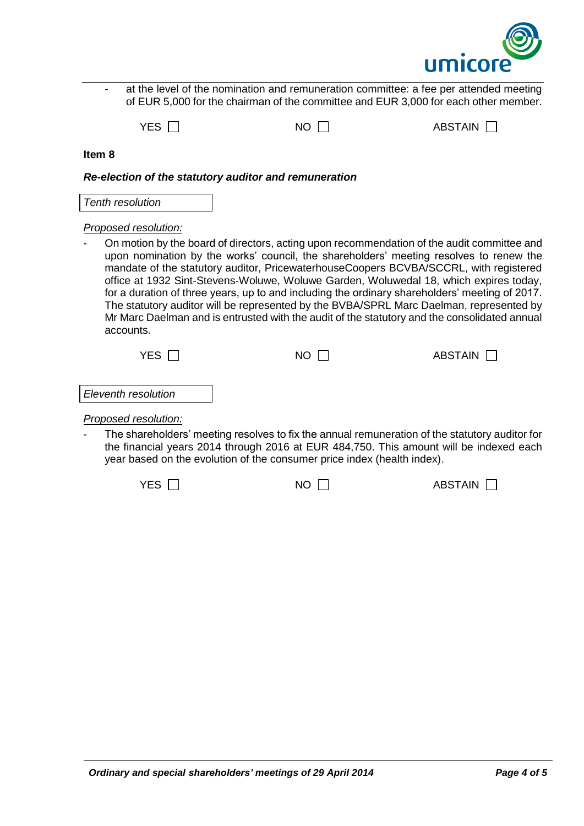

| at the level of the nomination and remuneration committee: a fee per attended meeting<br>of EUR 5,000 for the chairman of the committee and EUR 3,000 for each other member.                                                                                                                                                                                                                                                                                                                                                                                                                                                                                                                                                                     |             |                                                                                                                                                                                          |
|--------------------------------------------------------------------------------------------------------------------------------------------------------------------------------------------------------------------------------------------------------------------------------------------------------------------------------------------------------------------------------------------------------------------------------------------------------------------------------------------------------------------------------------------------------------------------------------------------------------------------------------------------------------------------------------------------------------------------------------------------|-------------|------------------------------------------------------------------------------------------------------------------------------------------------------------------------------------------|
| YES $\Box$                                                                                                                                                                                                                                                                                                                                                                                                                                                                                                                                                                                                                                                                                                                                       | $NO$ $\Box$ | ABSTAIN                                                                                                                                                                                  |
| Item <sub>8</sub>                                                                                                                                                                                                                                                                                                                                                                                                                                                                                                                                                                                                                                                                                                                                |             |                                                                                                                                                                                          |
| Re-election of the statutory auditor and remuneration                                                                                                                                                                                                                                                                                                                                                                                                                                                                                                                                                                                                                                                                                            |             |                                                                                                                                                                                          |
| <b>Tenth resolution</b>                                                                                                                                                                                                                                                                                                                                                                                                                                                                                                                                                                                                                                                                                                                          |             |                                                                                                                                                                                          |
| Proposed resolution:<br>On motion by the board of directors, acting upon recommendation of the audit committee and<br>upon nomination by the works' council, the shareholders' meeting resolves to renew the<br>mandate of the statutory auditor, PricewaterhouseCoopers BCVBA/SCCRL, with registered<br>office at 1932 Sint-Stevens-Woluwe, Woluwe Garden, Woluwedal 18, which expires today,<br>for a duration of three years, up to and including the ordinary shareholders' meeting of 2017.<br>The statutory auditor will be represented by the BVBA/SPRL Marc Daelman, represented by<br>Mr Marc Daelman and is entrusted with the audit of the statutory and the consolidated annual<br>accounts.<br>YES $\Box$<br><b>NO</b><br>ABSTAIN I |             |                                                                                                                                                                                          |
| Eleventh resolution                                                                                                                                                                                                                                                                                                                                                                                                                                                                                                                                                                                                                                                                                                                              |             |                                                                                                                                                                                          |
| Proposed resolution:                                                                                                                                                                                                                                                                                                                                                                                                                                                                                                                                                                                                                                                                                                                             |             | The shareholders' meeting resolves to fix the annual remuneration of the statutory auditor for<br>the financial years 2014 through 2016 at EUR 484,750. This amount will be indexed each |

year based on the evolution of the consumer price index (health index).